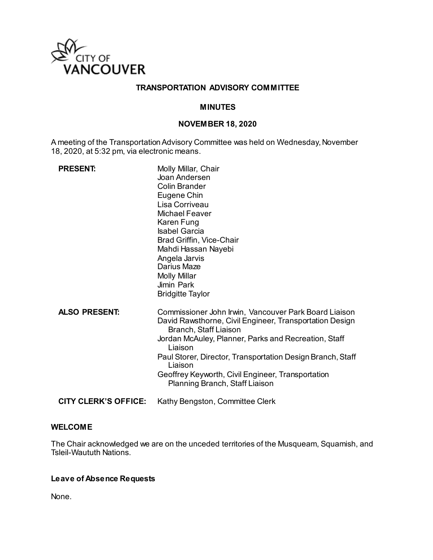

# **TRANSPORTATION ADVISORY COMMITTEE**

## **MINUTES**

#### **NOVEMBER 18, 2020**

A meeting of the Transportation Advisory Committee was held on Wednesday, November 18, 2020, at 5:32 pm, via electronic means.

| <b>PRESENT:</b>             | Molly Millar, Chair<br>Joan Andersen<br><b>Colin Brander</b><br>Eugene Chin<br>Lisa Corriveau<br><b>Michael Feaver</b><br>Karen Fung<br><b>Isabel Garcia</b><br>Brad Griffin, Vice-Chair<br>Mahdi Hassan Nayebi<br>Angela Jarvis<br>Darius Maze<br><b>Molly Millar</b><br>Jimin Park<br><b>Bridgitte Taylor</b>                                                              |
|-----------------------------|------------------------------------------------------------------------------------------------------------------------------------------------------------------------------------------------------------------------------------------------------------------------------------------------------------------------------------------------------------------------------|
| <b>ALSO PRESENT:</b>        | Commissioner John Irwin, Vancouver Park Board Liaison<br>David Rawsthorne, Civil Engineer, Transportation Design<br>Branch, Staff Liaison<br>Jordan McAuley, Planner, Parks and Recreation, Staff<br>Liaison<br>Paul Storer, Director, Transportation Design Branch, Staff<br>Liaison<br>Geoffrey Keyworth, Civil Engineer, Transportation<br>Planning Branch, Staff Liaison |
| <b>CITY CLERK'S OFFICE:</b> | Kathy Bengston, Committee Clerk                                                                                                                                                                                                                                                                                                                                              |

#### **WELCOME**

The Chair acknowledged we are on the unceded territories of the Musqueam, Squamish, and Tsleil-Waututh Nations.

# **Leave of Absence Requests**

None.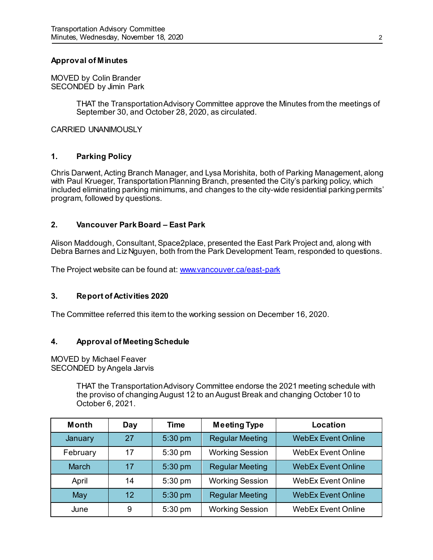## **Approval of Minutes**

MOVED by Colin Brander SECONDED by Jimin Park

> THAT the Transportation Advisory Committee approve the Minutes from the meetings of September 30, and October 28, 2020, as circulated.

CARRIED UNANIMOUSLY

## **1. Parking Policy**

Chris Darwent, Acting Branch Manager, and Lysa Morishita, both of Parking Management, along with Paul Krueger, Transportation Planning Branch, presented the City's parking policy, which included eliminating parking minimums, and changes to the city-wide residential parking permits' program, followed by questions.

### **2. Vancouver Park Board – East Park**

Alison Maddough, Consultant, Space2place, presented the East Park Project and, along with Debra Barnes and Liz Nguyen, both from the Park Development Team, responded to questions.

The Project website can be found at[: www.vancouver.ca/east-park](http://www.vancouver.ca/east-park)

#### **3. Report of Activities 2020**

The Committee referred this item to the working session on December 16, 2020.

#### **4. Approval of Meeting Schedule**

MOVED by Michael Feaver SECONDED by Angela Jarvis

> THAT the Transportation Advisory Committee endorse the 2021 meeting schedule with the proviso of changing August 12 to an August Break and changing October 10 to October 6, 2021.

| <b>Month</b>   | Day | <b>Time</b> | <b>Meeting Type</b>    | Location                  |
|----------------|-----|-------------|------------------------|---------------------------|
| <b>January</b> | 27  | 5:30 pm     | <b>Regular Meeting</b> | <b>WebEx Event Online</b> |
| February       | 17  | 5:30 pm     | <b>Working Session</b> | <b>WebEx Event Online</b> |
| <b>March</b>   | 17  | 5:30 pm     | <b>Regular Meeting</b> | <b>WebEx Event Online</b> |
| April          | 14  | 5:30 pm     | <b>Working Session</b> | <b>WebEx Event Online</b> |
| May            | 12  | 5:30 pm     | <b>Regular Meeting</b> | <b>WebEx Event Online</b> |
| June           | 9   | 5:30 pm     | <b>Working Session</b> | <b>WebEx Event Online</b> |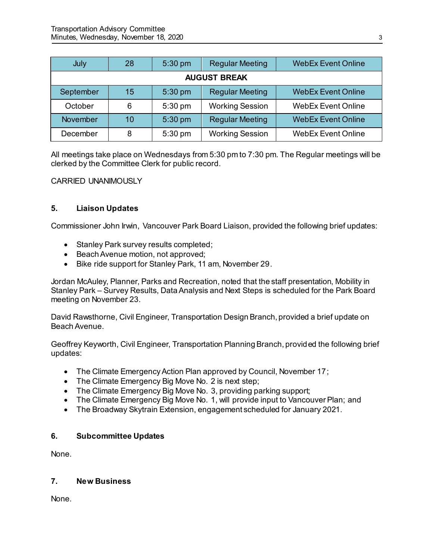| July                | 28 | $5:30$ pm | <b>Regular Meeting</b> | <b>WebEx Event Online</b> |  |  |
|---------------------|----|-----------|------------------------|---------------------------|--|--|
| <b>AUGUST BREAK</b> |    |           |                        |                           |  |  |
| September           | 15 | 5:30 pm   | <b>Regular Meeting</b> | <b>WebEx Event Online</b> |  |  |
| October             | 6  | $5:30$ pm | <b>Working Session</b> | <b>WebEx Event Online</b> |  |  |
| November            | 10 | 5:30 pm   | <b>Regular Meeting</b> | <b>WebEx Event Online</b> |  |  |
| December            | 8  | 5:30 pm   | <b>Working Session</b> | <b>WebEx Event Online</b> |  |  |

All meetings take place on Wednesdays from 5:30 pm to 7:30 pm. The Regular meetings will be clerked by the Committee Clerk for public record.

CARRIED UNANIMOUSLY

# **5. Liaison Updates**

Commissioner John Irwin, Vancouver Park Board Liaison, provided the following brief updates:

- Stanley Park survey results completed;
- Beach Avenue motion, not approved;
- Bike ride support for Stanley Park, 11 am, November 29.

Jordan McAuley, Planner, Parks and Recreation, noted that the staff presentation, Mobility in Stanley Park – Survey Results, Data Analysis and Next Steps is scheduled for the Park Board meeting on November 23.

David Rawsthorne, Civil Engineer, Transportation Design Branch, provided a brief update on Beach Avenue.

Geoffrey Keyworth, Civil Engineer, Transportation Planning Branch, provided the following brief updates:

- The Climate Emergency Action Plan approved by Council, November 17;
- The Climate Emergency Big Move No. 2 is next step;
- The Climate Emergency Big Move No. 3, providing parking support;
- The Climate Emergency Big Move No. 1, will provide input to Vancouver Plan; and
- The Broadway Skytrain Extension, engagement scheduled for January 2021.

# **6. Subcommittee Updates**

None.

# **7. New Business**

None.